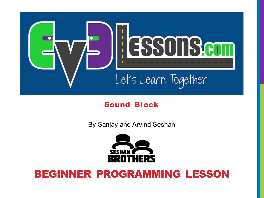

#### Sound Block

By Sanjay and Arvind Seshan



#### BEGINNER PROGRAMMING LESSON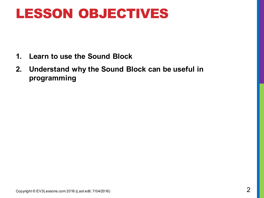### LESSON OBJECTIVES

- **1. Learn to use the Sound Block**
- **2. Understand why the Sound Block can be useful in programming**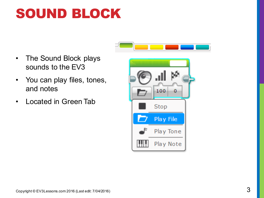# SOUND BLOCK

- The Sound Block plays sounds to the EV3
- You can play files, tones, and notes
- Located in Green Tab

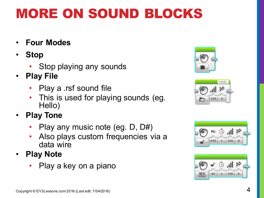# MORE ON SOUND BLOCKS

- **Four Modes**
- **Stop**
	- Stop playing any sounds
- **Play File**
	- Play a .rsf sound file
	- This is used for playing sounds (eg. Hello)
- **Play Tone**
	- Play any music note (eg. D, D#)
	- Also plays custom frequencies via a data wire
- **Play Note**
	- Play a key on a piano







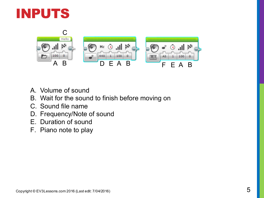



- A. Volume of sound
- B. Wait for the sound to finish before moving on
- C. Sound file name
- D. Frequency/Note of sound
- E. Duration of sound
- F. Piano note to play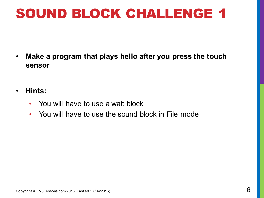# SOUND BLOCK CHALLENGE 1

- **Make a program that plays hello after you press the touch sensor**
- **Hints:**
	- You will have to use a wait block
	- You will have to use the sound block in File mode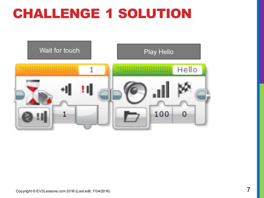# CHALLENGE 1 SOLUTION

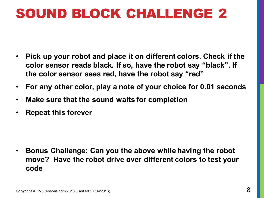# SOUND BLOCK CHALLENGE 2

- **Pick up your robot and place it on different colors. Check if the color sensor reads black. If so, have the robot say "black". If the color sensor sees red, have the robot say "red"**
- **For any other color, play a note of your choice for 0.01 seconds**
- **Make sure that the sound waits for completion**
- **Repeat this forever**

• **Bonus Challenge: Can you the above while having the robot move? Have the robot drive over different colors to test your code**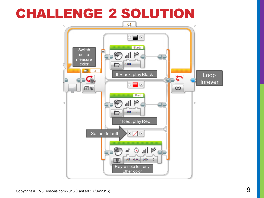### CHALLENGE 2 SOLUTION

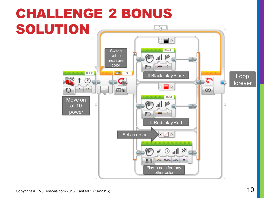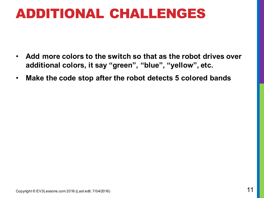## ADDITIONAL CHALLENGES

- **Add more colors to the switch so that as the robot drives over additional colors, it say "green", "blue", "yellow", etc.**
- **Make the code stop after the robot detects 5 colored bands**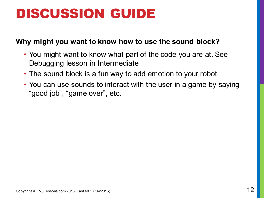# DISCUSSION GUIDE

#### **Why might you want to know how to use the sound block?**

- You might want to know what part of the code you are at. See Debugging lesson in Intermediate
- The sound block is a fun way to add emotion to your robot
- You can use sounds to interact with the user in a game by saying "good job", "game over", etc.